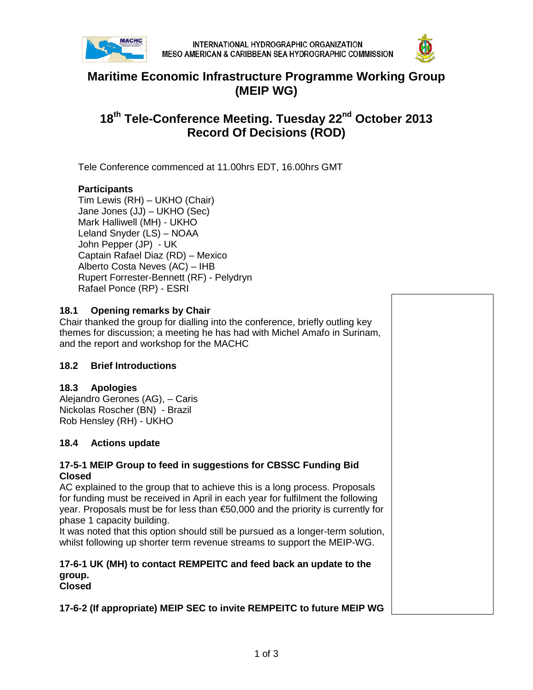



## **Maritime Economic Infrastructure Programme Working Group (MEIP WG)**

# **18th Tele-Conference Meeting. Tuesday 22nd October 2013 Record Of Decisions (ROD)**

Tele Conference commenced at 11.00hrs EDT, 16.00hrs GMT

## **Participants**

Tim Lewis (RH) – UKHO (Chair) Jane Jones (JJ) – UKHO (Sec) Mark Halliwell (MH) - UKHO Leland Snyder (LS) – NOAA John Pepper (JP) - UK Captain Rafael Diaz (RD) – Mexico Alberto Costa Neves (AC) – IHB Rupert Forrester-Bennett (RF) - Pelydryn Rafael Ponce (RP) - ESRI

## **18.1 Opening remarks by Chair**

Chair thanked the group for dialling into the conference, briefly outling key themes for discussion; a meeting he has had with Michel Amafo in Surinam, and the report and workshop for the MACHC

## **18.2 Brief Introductions**

## **18.3 Apologies**

Alejandro Gerones (AG), – Caris Nickolas Roscher (BN) - Brazil Rob Hensley (RH) - UKHO

## **18.4 Actions update**

### **17-5-1 MEIP Group to feed in suggestions for CBSSC Funding Bid Closed**

AC explained to the group that to achieve this is a long process. Proposals for funding must be received in April in each year for fulfilment the following year. Proposals must be for less than €50,000 and the priority is currently for phase 1 capacity building.

It was noted that this option should still be pursued as a longer-term solution, whilst following up shorter term revenue streams to support the MEIP-WG.

#### **17-6-1 UK (MH) to contact REMPEITC and feed back an update to the group. Closed**

**17-6-2 (If appropriate) MEIP SEC to invite REMPEITC to future MEIP WG**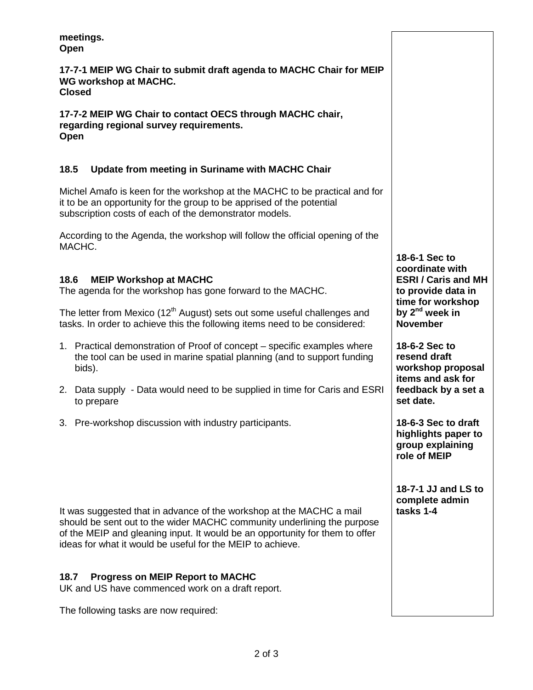**meetings. Open**

**17-7-1 MEIP WG Chair to submit draft agenda to MACHC Chair for MEIP WG workshop at MACHC. Closed**

**17-7-2 MEIP WG Chair to contact OECS through MACHC chair, regarding regional survey requirements. Open**

## **18.5 Update from meeting in Suriname with MACHC Chair**

Michel Amafo is keen for the workshop at the MACHC to be practical and for it to be an opportunity for the group to be apprised of the potential subscription costs of each of the demonstrator models.

According to the Agenda, the workshop will follow the official opening of the MACHC.

## **18.6 MEIP Workshop at MACHC**

The agenda for the workshop has gone forward to the MACHC.

The letter from Mexico  $(12<sup>th</sup>$  August) sets out some useful challenges and tasks. In order to achieve this the following items need to be considered:

- 1. Practical demonstration of Proof of concept specific examples where the tool can be used in marine spatial planning (and to support funding bids).
- 2. Data supply Data would need to be supplied in time for Caris and ESRI to prepare
- 3. Pre-workshop discussion with industry participants.

It was suggested that in advance of the workshop at the MACHC a mail should be sent out to the wider MACHC community underlining the purpose of the MEIP and gleaning input. It would be an opportunity for them to offer ideas for what it would be useful for the MEIP to achieve.

## **18.7 Progress on MEIP Report to MACHC**

UK and US have commenced work on a draft report.

The following tasks are now required:

**18-6-1 Sec to coordinate with ESRI / Caris and MH to provide data in time for workshop by 2nd week in November**

**18-6-2 Sec to resend draft workshop proposal items and ask for feedback by a set a set date.** 

**18-6-3 Sec to draft highlights paper to group explaining role of MEIP**

**18-7-1 JJ and LS to complete admin tasks 1-4**